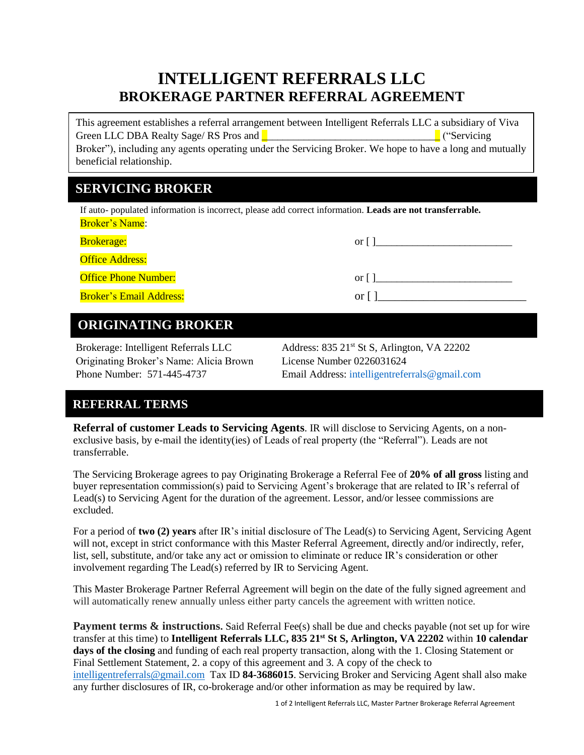# **INTELLIGENT REFERRALS LLC BROKERAGE PARTNER REFERRAL AGREEMENT**

This agreement establishes a referral arrangement between Intelligent Referrals LLC a subsidiary of Viva Green LLC DBA Realty Sage/ RS Pros and **Department of the Contract of Contract Automobile Contract of Contract Automobile Contract of Contract Automobile Contract of Contract Automobile Contract of Contract Automobile Cont** Broker"), including any agents operating under the Servicing Broker. We hope to have a long and mutually beneficial relationship.

# **SERVICING BROKER**

If auto- populated information is incorrect, please add correct information. **Leads are not transferrable.** Broker's Name:

| Brokerage:                     | or l |
|--------------------------------|------|
| <b>Office Address:</b>         |      |
| <b>Office Phone Number:</b>    | or l |
| <b>Broker's Email Address:</b> | or l |

# **ORIGINATING BROKER**

Originating Broker's Name: Alicia Brown License Number 0226031624

Brokerage: Intelligent Referrals LLC Address: 835 21<sup>st</sup> St S, Arlington, VA 22202 Phone Number: 571-445-4737 Email Address: [intelligentreferrals@gmail.com](mailto:intelligentreferrals@gmail.com)

# **REFERRAL TERMS**

**Referral of customer Leads to Servicing Agents**. IR will disclose to Servicing Agents, on a nonexclusive basis, by e-mail the identity(ies) of Leads of real property (the "Referral"). Leads are not transferrable.

The Servicing Brokerage agrees to pay Originating Brokerage a Referral Fee of **20% of all gross** listing and buyer representation commission(s) paid to Servicing Agent's brokerage that are related to IR's referral of Lead(s) to Servicing Agent for the duration of the agreement. Lessor, and/or lessee commissions are excluded.

For a period of **two (2) years** after IR's initial disclosure of The Lead(s) to Servicing Agent, Servicing Agent will not, except in strict conformance with this Master Referral Agreement, directly and/or indirectly, refer, list, sell, substitute, and/or take any act or omission to eliminate or reduce IR's consideration or other involvement regarding The Lead(s) referred by IR to Servicing Agent.

This Master Brokerage Partner Referral Agreement will begin on the date of the fully signed agreement and will automatically renew annually unless either party cancels the agreement with written notice.

**Payment terms & instructions.** Said Referral Fee(s) shall be due and checks payable (not set up for wire transfer at this time) to **Intelligent Referrals LLC, 835 21st St S, Arlington, VA 22202** within **10 calendar days of the closing** and funding of each real property transaction, along with the 1. Closing Statement or Final Settlement Statement, 2. a copy of this agreement and 3. A copy of the check to [intelligentreferrals@gmail.com](mailto:intelligentreferrals@gmail.com) Tax ID **84-3686015**. Servicing Broker and Servicing Agent shall also make any further disclosures of IR, co-brokerage and/or other information as may be required by law.